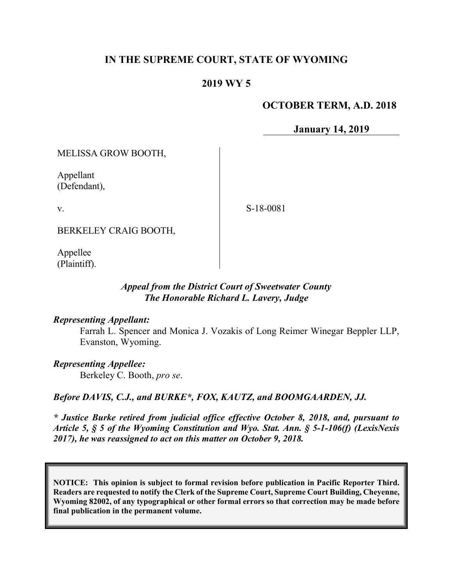## **IN THE SUPREME COURT, STATE OF WYOMING**

#### **2019 WY 5**

#### **OCTOBER TERM, A.D. 2018**

**January 14, 2019**

MELISSA GROW BOOTH,

Appellant (Defendant),

v.

S-18-0081

BERKELEY CRAIG BOOTH,

Appellee (Plaintiff).

#### *Appeal from the District Court of Sweetwater County The Honorable Richard L. Lavery, Judge*

#### *Representing Appellant:*

Farrah L. Spencer and Monica J. Vozakis of Long Reimer Winegar Beppler LLP, Evanston, Wyoming.

#### *Representing Appellee:*

Berkeley C. Booth, *pro se*.

*Before DAVIS, C.J., and BURKE\*, FOX, KAUTZ, and BOOMGAARDEN, JJ.*

*\* Justice Burke retired from judicial office effective October 8, 2018, and, pursuant to Article 5, § 5 of the Wyoming Constitution and Wyo. Stat. Ann. § 5-1-106(f) (LexisNexis 2017), he was reassigned to act on this matter on October 9, 2018.*

**NOTICE: This opinion is subject to formal revision before publication in Pacific Reporter Third. Readers are requested to notify the Clerk of the Supreme Court, Supreme Court Building, Cheyenne, Wyoming 82002, of any typographical or other formal errors so that correction may be made before final publication in the permanent volume.**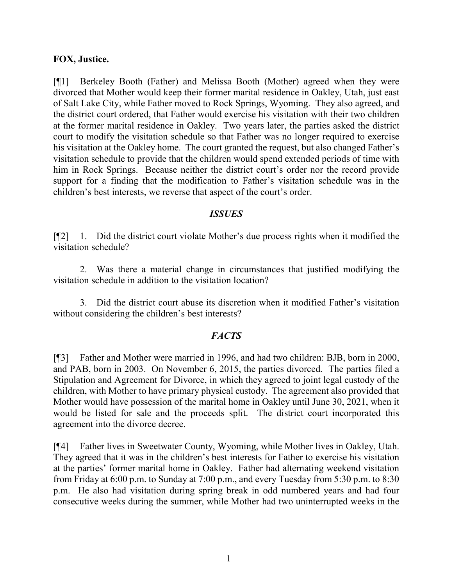#### **FOX, Justice.**

[¶1] Berkeley Booth (Father) and Melissa Booth (Mother) agreed when they were divorced that Mother would keep their former marital residence in Oakley, Utah, just east of Salt Lake City, while Father moved to Rock Springs, Wyoming. They also agreed, and the district court ordered, that Father would exercise his visitation with their two children at the former marital residence in Oakley. Two years later, the parties asked the district court to modify the visitation schedule so that Father was no longer required to exercise his visitation at the Oakley home. The court granted the request, but also changed Father's visitation schedule to provide that the children would spend extended periods of time with him in Rock Springs. Because neither the district court's order nor the record provide support for a finding that the modification to Father's visitation schedule was in the children's best interests, we reverse that aspect of the court's order.

#### *ISSUES*

[¶2] 1. Did the district court violate Mother's due process rights when it modified the visitation schedule?

2. Was there a material change in circumstances that justified modifying the visitation schedule in addition to the visitation location?

3. Did the district court abuse its discretion when it modified Father's visitation without considering the children's best interests?

#### *FACTS*

[¶3] Father and Mother were married in 1996, and had two children: BJB, born in 2000, and PAB, born in 2003. On November 6, 2015, the parties divorced. The parties filed a Stipulation and Agreement for Divorce, in which they agreed to joint legal custody of the children, with Mother to have primary physical custody. The agreement also provided that Mother would have possession of the marital home in Oakley until June 30, 2021, when it would be listed for sale and the proceeds split. The district court incorporated this agreement into the divorce decree.

[¶4] Father lives in Sweetwater County, Wyoming, while Mother lives in Oakley, Utah. They agreed that it was in the children's best interests for Father to exercise his visitation at the parties' former marital home in Oakley. Father had alternating weekend visitation from Friday at 6:00 p.m. to Sunday at 7:00 p.m., and every Tuesday from 5:30 p.m. to 8:30 p.m. He also had visitation during spring break in odd numbered years and had four consecutive weeks during the summer, while Mother had two uninterrupted weeks in the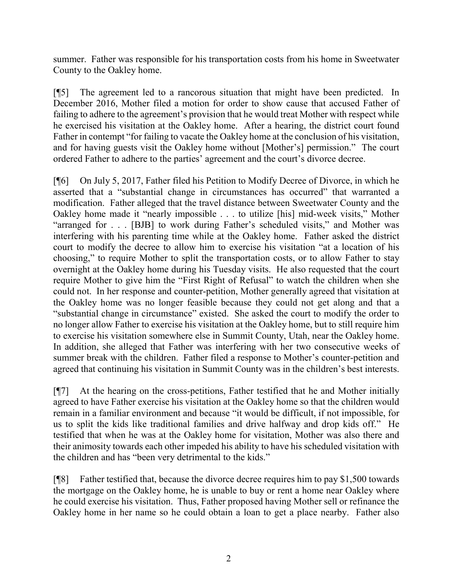summer. Father was responsible for his transportation costs from his home in Sweetwater County to the Oakley home.

[¶5] The agreement led to a rancorous situation that might have been predicted. In December 2016, Mother filed a motion for order to show cause that accused Father of failing to adhere to the agreement's provision that he would treat Mother with respect while he exercised his visitation at the Oakley home. After a hearing, the district court found Father in contempt "for failing to vacate the Oakley home at the conclusion of his visitation, and for having guests visit the Oakley home without [Mother's] permission." The court ordered Father to adhere to the parties' agreement and the court's divorce decree.

[¶6] On July 5, 2017, Father filed his Petition to Modify Decree of Divorce, in which he asserted that a "substantial change in circumstances has occurred" that warranted a modification. Father alleged that the travel distance between Sweetwater County and the Oakley home made it "nearly impossible . . . to utilize [his] mid-week visits," Mother "arranged for . . . [BJB] to work during Father's scheduled visits," and Mother was interfering with his parenting time while at the Oakley home. Father asked the district court to modify the decree to allow him to exercise his visitation "at a location of his choosing," to require Mother to split the transportation costs, or to allow Father to stay overnight at the Oakley home during his Tuesday visits. He also requested that the court require Mother to give him the "First Right of Refusal" to watch the children when she could not. In her response and counter-petition, Mother generally agreed that visitation at the Oakley home was no longer feasible because they could not get along and that a "substantial change in circumstance" existed. She asked the court to modify the order to no longer allow Father to exercise his visitation at the Oakley home, but to still require him to exercise his visitation somewhere else in Summit County, Utah, near the Oakley home. In addition, she alleged that Father was interfering with her two consecutive weeks of summer break with the children. Father filed a response to Mother's counter-petition and agreed that continuing his visitation in Summit County was in the children's best interests.

[¶7] At the hearing on the cross-petitions, Father testified that he and Mother initially agreed to have Father exercise his visitation at the Oakley home so that the children would remain in a familiar environment and because "it would be difficult, if not impossible, for us to split the kids like traditional families and drive halfway and drop kids off." He testified that when he was at the Oakley home for visitation, Mother was also there and their animosity towards each other impeded his ability to have his scheduled visitation with the children and has "been very detrimental to the kids."

[¶8] Father testified that, because the divorce decree requires him to pay \$1,500 towards the mortgage on the Oakley home, he is unable to buy or rent a home near Oakley where he could exercise his visitation. Thus, Father proposed having Mother sell or refinance the Oakley home in her name so he could obtain a loan to get a place nearby. Father also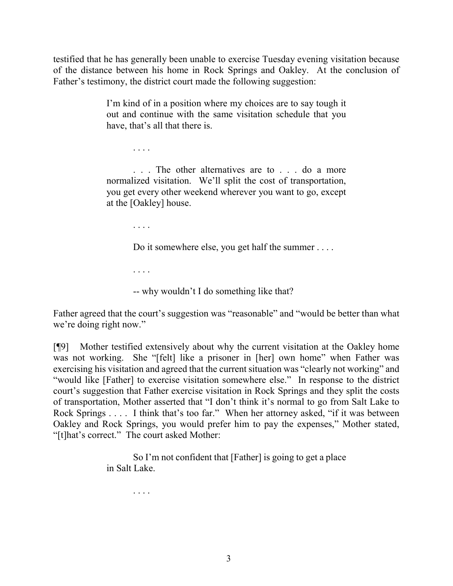testified that he has generally been unable to exercise Tuesday evening visitation because of the distance between his home in Rock Springs and Oakley. At the conclusion of Father's testimony, the district court made the following suggestion:

> I'm kind of in a position where my choices are to say tough it out and continue with the same visitation schedule that you have, that's all that there is.

> . . . The other alternatives are to . . . do a more normalized visitation. We'll split the cost of transportation, you get every other weekend wherever you want to go, except at the [Oakley] house.

> > . . . .

. . . .

Do it somewhere else, you get half the summer . . . .

. . . .

-- why wouldn't I do something like that?

Father agreed that the court's suggestion was "reasonable" and "would be better than what we're doing right now."

[¶9] Mother testified extensively about why the current visitation at the Oakley home was not working. She "[felt] like a prisoner in [her] own home" when Father was exercising his visitation and agreed that the current situation was "clearly not working" and "would like [Father] to exercise visitation somewhere else." In response to the district court's suggestion that Father exercise visitation in Rock Springs and they split the costs of transportation, Mother asserted that "I don't think it's normal to go from Salt Lake to Rock Springs . . . . I think that's too far." When her attorney asked, "if it was between Oakley and Rock Springs, you would prefer him to pay the expenses," Mother stated, "[t]hat's correct." The court asked Mother:

> So I'm not confident that [Father] is going to get a place in Salt Lake.

> > . . . .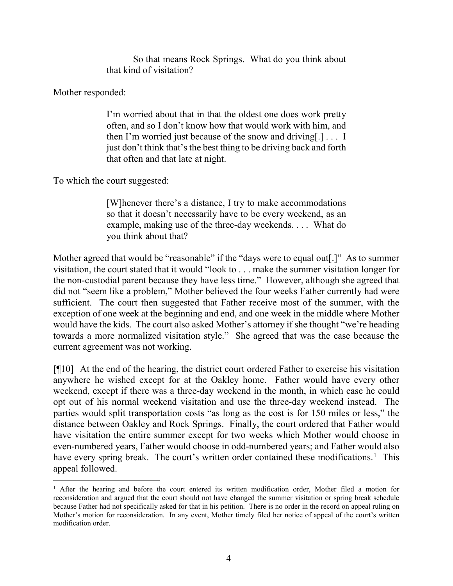So that means Rock Springs. What do you think about that kind of visitation?

Mother responded:

I'm worried about that in that the oldest one does work pretty often, and so I don't know how that would work with him, and then I'm worried just because of the snow and driving[.] . . . I just don't think that's the best thing to be driving back and forth that often and that late at night.

To which the court suggested:

[W]henever there's a distance, I try to make accommodations so that it doesn't necessarily have to be every weekend, as an example, making use of the three-day weekends. . . . What do you think about that?

Mother agreed that would be "reasonable" if the "days were to equal out [.]" As to summer visitation, the court stated that it would "look to . . . make the summer visitation longer for the non-custodial parent because they have less time." However, although she agreed that did not "seem like a problem," Mother believed the four weeks Father currently had were sufficient. The court then suggested that Father receive most of the summer, with the exception of one week at the beginning and end, and one week in the middle where Mother would have the kids. The court also asked Mother's attorney if she thought "we're heading towards a more normalized visitation style." She agreed that was the case because the current agreement was not working.

[ $[$ [10] At the end of the hearing, the district court ordered Father to exercise his visitation anywhere he wished except for at the Oakley home. Father would have every other weekend, except if there was a three-day weekend in the month, in which case he could opt out of his normal weekend visitation and use the three-day weekend instead. The parties would split transportation costs "as long as the cost is for 150 miles or less," the distance between Oakley and Rock Springs. Finally, the court ordered that Father would have visitation the entire summer except for two weeks which Mother would choose in even-numbered years, Father would choose in odd-numbered years; and Father would also have every spring break. The court's written order contained these modifications.<sup>[1](#page-4-0)</sup> This appeal followed.

<span id="page-4-0"></span><sup>&</sup>lt;sup>1</sup> After the hearing and before the court entered its written modification order, Mother filed a motion for reconsideration and argued that the court should not have changed the summer visitation or spring break schedule because Father had not specifically asked for that in his petition. There is no order in the record on appeal ruling on Mother's motion for reconsideration. In any event, Mother timely filed her notice of appeal of the court's written modification order.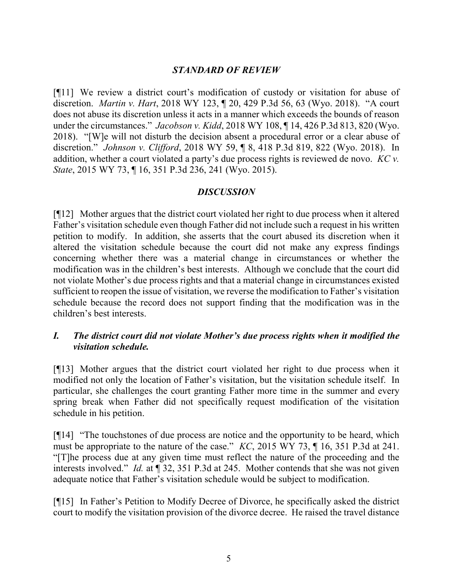### *STANDARD OF REVIEW*

[¶11] We review a district court's modification of custody or visitation for abuse of discretion. *Martin v. Hart*, 2018 WY 123, ¶ 20, 429 P.3d 56, 63 (Wyo. 2018). "A court does not abuse its discretion unless it acts in a manner which exceeds the bounds of reason under the circumstances." *Jacobson v. Kidd*, 2018 WY 108, ¶ 14, 426 P.3d 813, 820 (Wyo. 2018). "[W]e will not disturb the decision absent a procedural error or a clear abuse of discretion." *Johnson v. Clifford*, 2018 WY 59, ¶ 8, 418 P.3d 819, 822 (Wyo. 2018). In addition, whether a court violated a party's due process rights is reviewed de novo. *KC v. State*, 2015 WY 73, ¶ 16, 351 P.3d 236, 241 (Wyo. 2015).

#### *DISCUSSION*

[¶12] Mother argues that the district court violated her right to due process when it altered Father's visitation schedule even though Father did not include such a request in his written petition to modify. In addition, she asserts that the court abused its discretion when it altered the visitation schedule because the court did not make any express findings concerning whether there was a material change in circumstances or whether the modification was in the children's best interests. Although we conclude that the court did not violate Mother's due process rights and that a material change in circumstances existed sufficient to reopen the issue of visitation, we reverse the modification to Father's visitation schedule because the record does not support finding that the modification was in the children's best interests.

## *I. The district court did not violate Mother's due process rights when it modified the visitation schedule.*

[¶13] Mother argues that the district court violated her right to due process when it modified not only the location of Father's visitation, but the visitation schedule itself. In particular, she challenges the court granting Father more time in the summer and every spring break when Father did not specifically request modification of the visitation schedule in his petition.

[¶14] "The touchstones of due process are notice and the opportunity to be heard, which must be appropriate to the nature of the case." *KC*, 2015 WY 73, ¶ 16, 351 P.3d at 241. "[T]he process due at any given time must reflect the nature of the proceeding and the interests involved." *Id.* at ¶ 32, 351 P.3d at 245. Mother contends that she was not given adequate notice that Father's visitation schedule would be subject to modification.

[¶15] In Father's Petition to Modify Decree of Divorce, he specifically asked the district court to modify the visitation provision of the divorce decree. He raised the travel distance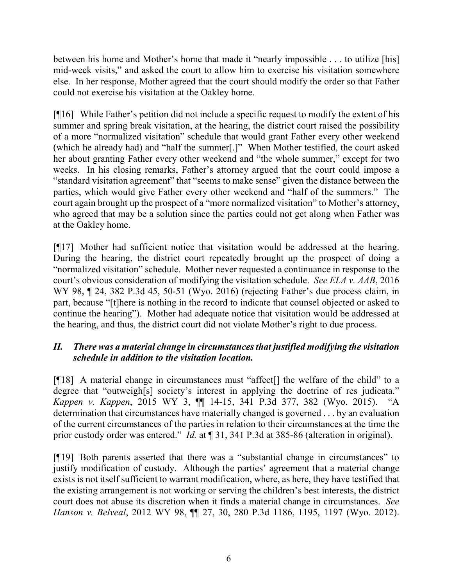between his home and Mother's home that made it "nearly impossible . . . to utilize [his] mid-week visits," and asked the court to allow him to exercise his visitation somewhere else. In her response, Mother agreed that the court should modify the order so that Father could not exercise his visitation at the Oakley home.

[¶16] While Father's petition did not include a specific request to modify the extent of his summer and spring break visitation, at the hearing, the district court raised the possibility of a more "normalized visitation" schedule that would grant Father every other weekend (which he already had) and "half the summer[.]" When Mother testified, the court asked her about granting Father every other weekend and "the whole summer," except for two weeks. In his closing remarks, Father's attorney argued that the court could impose a "standard visitation agreement" that "seems to make sense" given the distance between the parties, which would give Father every other weekend and "half of the summers." The court again brought up the prospect of a "more normalized visitation" to Mother's attorney, who agreed that may be a solution since the parties could not get along when Father was at the Oakley home.

[¶17] Mother had sufficient notice that visitation would be addressed at the hearing. During the hearing, the district court repeatedly brought up the prospect of doing a "normalized visitation" schedule. Mother never requested a continuance in response to the court's obvious consideration of modifying the visitation schedule. *See ELA v. AAB*, 2016 WY 98, ¶ 24, 382 P.3d 45, 50-51 (Wyo. 2016) (rejecting Father's due process claim, in part, because "[t]here is nothing in the record to indicate that counsel objected or asked to continue the hearing"). Mother had adequate notice that visitation would be addressed at the hearing, and thus, the district court did not violate Mother's right to due process.

# *II. There was a material change in circumstances that justified modifying the visitation schedule in addition to the visitation location.*

[¶18] A material change in circumstances must "affect[] the welfare of the child" to a degree that "outweigh[s] society's interest in applying the doctrine of res judicata." *Kappen v. Kappen*, 2015 WY 3, ¶¶ 14-15, 341 P.3d 377, 382 (Wyo. 2015). "A determination that circumstances have materially changed is governed . . . by an evaluation of the current circumstances of the parties in relation to their circumstances at the time the prior custody order was entered." *Id.* at ¶ 31, 341 P.3d at 385-86 (alteration in original).

[¶19] Both parents asserted that there was a "substantial change in circumstances" to justify modification of custody. Although the parties' agreement that a material change exists is not itself sufficient to warrant modification, where, as here, they have testified that the existing arrangement is not working or serving the children's best interests, the district court does not abuse its discretion when it finds a material change in circumstances. *See Hanson v. Belveal*, 2012 WY 98, ¶¶ 27, 30, 280 P.3d 1186, 1195, 1197 (Wyo. 2012).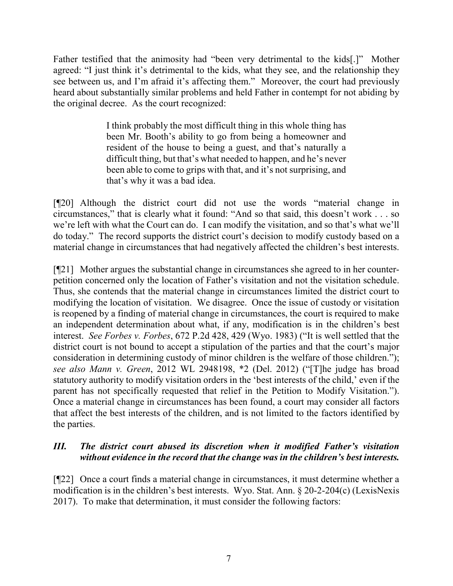Father testified that the animosity had "been very detrimental to the kids[.]" Mother agreed: "I just think it's detrimental to the kids, what they see, and the relationship they see between us, and I'm afraid it's affecting them." Moreover, the court had previously heard about substantially similar problems and held Father in contempt for not abiding by the original decree. As the court recognized:

> I think probably the most difficult thing in this whole thing has been Mr. Booth's ability to go from being a homeowner and resident of the house to being a guest, and that's naturally a difficult thing, but that's what needed to happen, and he's never been able to come to grips with that, and it's not surprising, and that's why it was a bad idea.

[¶20] Although the district court did not use the words "material change in circumstances," that is clearly what it found: "And so that said, this doesn't work . . . so we're left with what the Court can do. I can modify the visitation, and so that's what we'll do today." The record supports the district court's decision to modify custody based on a material change in circumstances that had negatively affected the children's best interests.

[¶21] Mother argues the substantial change in circumstances she agreed to in her counterpetition concerned only the location of Father's visitation and not the visitation schedule. Thus, she contends that the material change in circumstances limited the district court to modifying the location of visitation. We disagree. Once the issue of custody or visitation is reopened by a finding of material change in circumstances, the court is required to make an independent determination about what, if any, modification is in the children's best interest. *See Forbes v. Forbes*, 672 P.2d 428, 429 (Wyo. 1983) ("It is well settled that the district court is not bound to accept a stipulation of the parties and that the court's major consideration in determining custody of minor children is the welfare of those children."); *see also Mann v. Green*, 2012 WL 2948198, \*2 (Del. 2012) ("[T]he judge has broad statutory authority to modify visitation orders in the 'best interests of the child,' even if the parent has not specifically requested that relief in the Petition to Modify Visitation."). Once a material change in circumstances has been found, a court may consider all factors that affect the best interests of the children, and is not limited to the factors identified by the parties.

## *III. The district court abused its discretion when it modified Father's visitation without evidence in the record that the change was in the children's best interests.*

[¶22] Once a court finds a material change in circumstances, it must determine whether a modification is in the children's best interests. Wyo. Stat. Ann. § 20-2-204(c) (LexisNexis 2017). To make that determination, it must consider the following factors: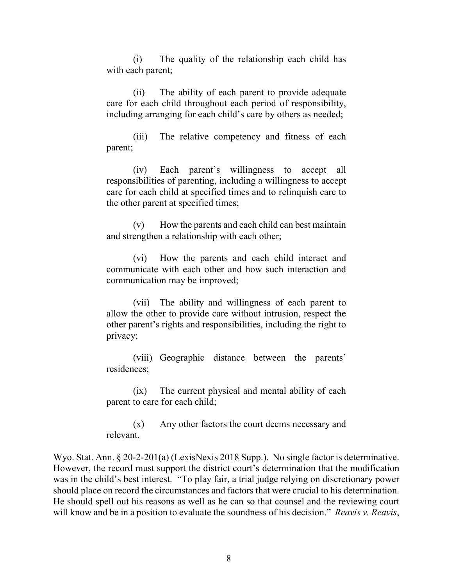(i) The quality of the relationship each child has with each parent;

(ii) The ability of each parent to provide adequate care for each child throughout each period of responsibility, including arranging for each child's care by others as needed;

(iii) The relative competency and fitness of each parent;

(iv) Each parent's willingness to accept all responsibilities of parenting, including a willingness to accept care for each child at specified times and to relinquish care to the other parent at specified times;

(v) How the parents and each child can best maintain and strengthen a relationship with each other;

(vi) How the parents and each child interact and communicate with each other and how such interaction and communication may be improved;

(vii) The ability and willingness of each parent to allow the other to provide care without intrusion, respect the other parent's rights and responsibilities, including the right to privacy;

(viii) Geographic distance between the parents' residences;

(ix) The current physical and mental ability of each parent to care for each child;

(x) Any other factors the court deems necessary and relevant.

Wyo. Stat. Ann. § 20-2-201(a) (LexisNexis 2018 Supp.). No single factor is determinative. However, the record must support the district court's determination that the modification was in the child's best interest. "To play fair, a trial judge relying on discretionary power should place on record the circumstances and factors that were crucial to his determination. He should spell out his reasons as well as he can so that counsel and the reviewing court will know and be in a position to evaluate the soundness of his decision." *Reavis v. Reavis*,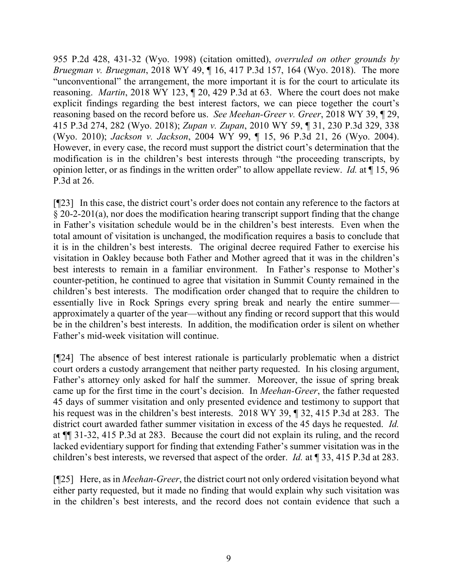955 P.2d 428, 431-32 (Wyo. 1998) (citation omitted), *overruled on other grounds by Bruegman v. Bruegman*, 2018 WY 49, ¶ 16, 417 P.3d 157, 164 (Wyo. 2018). The more "unconventional" the arrangement, the more important it is for the court to articulate its reasoning. *Martin*, 2018 WY 123, ¶ 20, 429 P.3d at 63. Where the court does not make explicit findings regarding the best interest factors, we can piece together the court's reasoning based on the record before us. *See Meehan-Greer v. Greer*, 2018 WY 39, ¶ 29, 415 P.3d 274, 282 (Wyo. 2018); *Zupan v. Zupan*, 2010 WY 59, ¶ 31, 230 P.3d 329, 338 (Wyo. 2010); *Jackson v. Jackson*, 2004 WY 99, ¶ 15, 96 P.3d 21, 26 (Wyo. 2004). However, in every case, the record must support the district court's determination that the modification is in the children's best interests through "the proceeding transcripts, by opinion letter, or as findings in the written order" to allow appellate review. *Id.* at ¶ 15, 96 P.3d at 26.

[¶23] In this case, the district court's order does not contain any reference to the factors at § 20-2-201(a), nor does the modification hearing transcript support finding that the change in Father's visitation schedule would be in the children's best interests. Even when the total amount of visitation is unchanged, the modification requires a basis to conclude that it is in the children's best interests. The original decree required Father to exercise his visitation in Oakley because both Father and Mother agreed that it was in the children's best interests to remain in a familiar environment. In Father's response to Mother's counter-petition, he continued to agree that visitation in Summit County remained in the children's best interests. The modification order changed that to require the children to essentially live in Rock Springs every spring break and nearly the entire summer approximately a quarter of the year—without any finding or record support that this would be in the children's best interests. In addition, the modification order is silent on whether Father's mid-week visitation will continue.

[¶24] The absence of best interest rationale is particularly problematic when a district court orders a custody arrangement that neither party requested. In his closing argument, Father's attorney only asked for half the summer. Moreover, the issue of spring break came up for the first time in the court's decision. In *Meehan-Greer*, the father requested 45 days of summer visitation and only presented evidence and testimony to support that his request was in the children's best interests. 2018 WY 39, ¶ 32, 415 P.3d at 283. The district court awarded father summer visitation in excess of the 45 days he requested. *Id.* at ¶¶ 31-32, 415 P.3d at 283. Because the court did not explain its ruling, and the record lacked evidentiary support for finding that extending Father's summer visitation was in the children's best interests, we reversed that aspect of the order. *Id.* at ¶ 33, 415 P.3d at 283.

[¶25] Here, as in *Meehan-Greer*, the district court not only ordered visitation beyond what either party requested, but it made no finding that would explain why such visitation was in the children's best interests, and the record does not contain evidence that such a